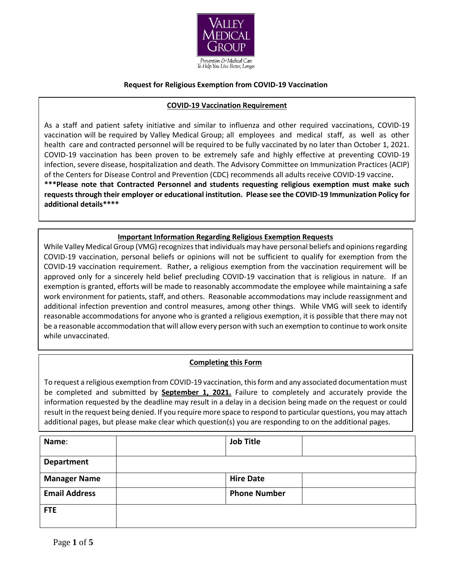

## **Request for Religious Exemption from COVID-19 Vaccination**

### **COVID-19 Vaccination Requirement**

As a staff and patient safety initiative and similar to influenza and other required vaccinations, COVID-19 vaccination will be required by Valley Medical Group; all employees and medical staff, as well as other health care and contracted personnel will be required to be fully vaccinated by no later than October 1, 2021. COVID-19 vaccination has been proven to be extremely safe and highly effective at preventing COVID-19 infection, severe disease, hospitalization and death. The Advisory Committee on Immunization Practices (ACIP) of the Centers for Disease Control and Prevention (CDC) recommends all adults receive COVID-19 vaccine**. \*\*\*Please note that Contracted Personnel and students requesting religious exemption must make such requests through their employer or educational institution. Please see the COVID-19 Immunization Policy for additional details\*\*\*\***

## **Important Information Regarding Religious Exemption Requests**

While Valley Medical Group (VMG) recognizes that individuals may have personal beliefs and opinions regarding COVID-19 vaccination, personal beliefs or opinions will not be sufficient to qualify for exemption from the COVID-19 vaccination requirement. Rather, a religious exemption from the vaccination requirement will be approved only for a sincerely held belief precluding COVID-19 vaccination that is religious in nature. If an exemption is granted, efforts will be made to reasonably accommodate the employee while maintaining a safe work environment for patients, staff, and others. Reasonable accommodations may include reassignment and additional infection prevention and control measures, among other things. While VMG will seek to identify reasonable accommodations for anyone who is granted a religious exemption, it is possible that there may not be a reasonable accommodation that will allow every person with such an exemption to continue to work onsite while unvaccinated.

# **Completing this Form**

To request a religious exemption from COVID-19 vaccination, this form and any associated documentation must be completed and submitted by **September 1, 2021.** Failure to completely and accurately provide the information requested by the deadline may result in a delay in a decision being made on the request or could result in the request being denied. If you require more space to respond to particular questions, you may attach additional pages, but please make clear which question(s) you are responding to on the additional pages.

| Name:                | <b>Job Title</b>    |  |
|----------------------|---------------------|--|
| Department           |                     |  |
| <b>Manager Name</b>  | <b>Hire Date</b>    |  |
| <b>Email Address</b> | <b>Phone Number</b> |  |
| <b>FTE</b>           |                     |  |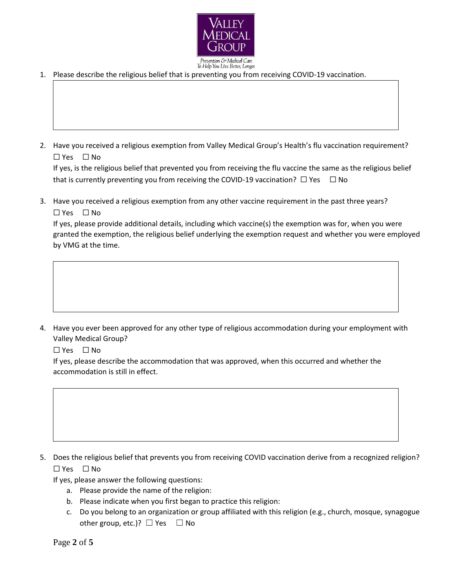

revention & Medical Care To Help You Live Better, Longer.

1. Please describe the religious belief that is preventing you from receiving COVID-19 vaccination.

2. Have you received a religious exemption from Valley Medical Group's Health's flu vaccination requirement? ☐ Yes ☐ No

If yes, is the religious belief that prevented you from receiving the flu vaccine the same as the religious belief that is currently preventing you from receiving the COVID-19 vaccination?  $\Box$  Yes  $\Box$  No

3. Have you received a religious exemption from any other vaccine requirement in the past three years? ☐ Yes ☐ No

If yes, please provide additional details, including which vaccine(s) the exemption was for, when you were granted the exemption, the religious belief underlying the exemption request and whether you were employed by VMG at the time.

4. Have you ever been approved for any other type of religious accommodation during your employment with Valley Medical Group?

☐ Yes ☐ No

If yes, please describe the accommodation that was approved, when this occurred and whether the accommodation is still in effect.

5. Does the religious belief that prevents you from receiving COVID vaccination derive from a recognized religion? ☐ Yes ☐ No

If yes, please answer the following questions:

- a. Please provide the name of the religion:
- b. Please indicate when you first began to practice this religion:
- c. Do you belong to an organization or group affiliated with this religion (e.g., church, mosque, synagogue other group, etc.)?  $\Box$  Yes  $\Box$  No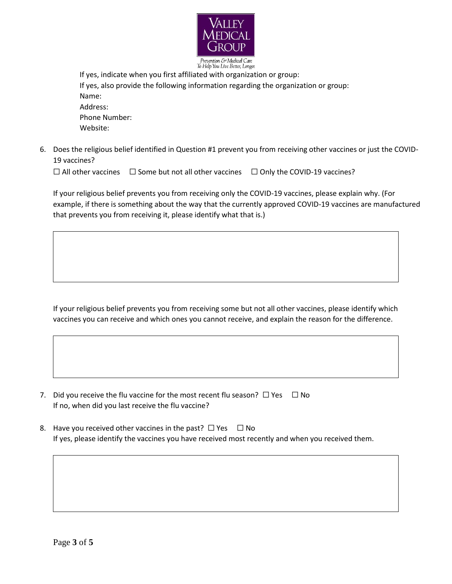

To Help You Live Better, Longer.

If yes, indicate when you first affiliated with organization or group: If yes, also provide the following information regarding the organization or group: Name: Address: Phone Number: Website:

6. Does the religious belief identified in Question #1 prevent you from receiving other vaccines or just the COVID-19 vaccines?

☐ All other vaccines ☐ Some but not all other vaccines ☐ Only the COVID-19 vaccines?

If your religious belief prevents you from receiving only the COVID-19 vaccines, please explain why. (For example, if there is something about the way that the currently approved COVID-19 vaccines are manufactured that prevents you from receiving it, please identify what that is.)

If your religious belief prevents you from receiving some but not all other vaccines, please identify which vaccines you can receive and which ones you cannot receive, and explain the reason for the difference.

- 7. Did you receive the flu vaccine for the most recent flu season?  $\Box$  Yes  $\Box$  No If no, when did you last receive the flu vaccine?
- 8. Have you received other vaccines in the past?  $\Box$  Yes  $\Box$  No If yes, please identify the vaccines you have received most recently and when you received them.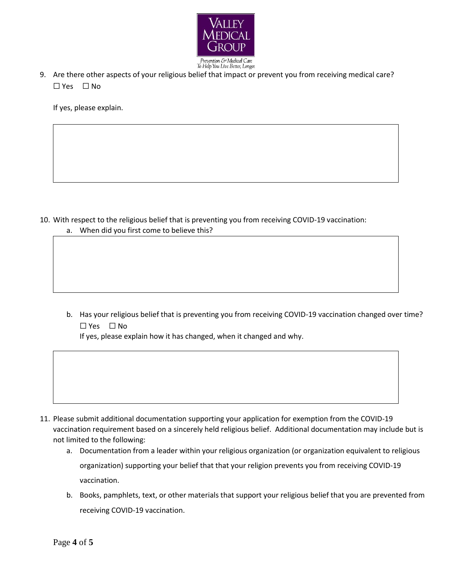

9. Are there other aspects of your religious belief that impact or prevent you from receiving medical care? ☐ Yes ☐ No

If yes, please explain.

- 10. With respect to the religious belief that is preventing you from receiving COVID-19 vaccination:
	- a. When did you first come to believe this?
	- b. Has your religious belief that is preventing you from receiving COVID-19 vaccination changed over time? ☐ Yes ☐ No

If yes, please explain how it has changed, when it changed and why.

- 11. Please submit additional documentation supporting your application for exemption from the COVID-19 vaccination requirement based on a sincerely held religious belief. Additional documentation may include but is not limited to the following:
	- a. Documentation from a leader within your religious organization (or organization equivalent to religious organization) supporting your belief that that your religion prevents you from receiving COVID-19 vaccination.
	- b. Books, pamphlets, text, or other materials that support your religious belief that you are prevented from receiving COVID-19 vaccination.